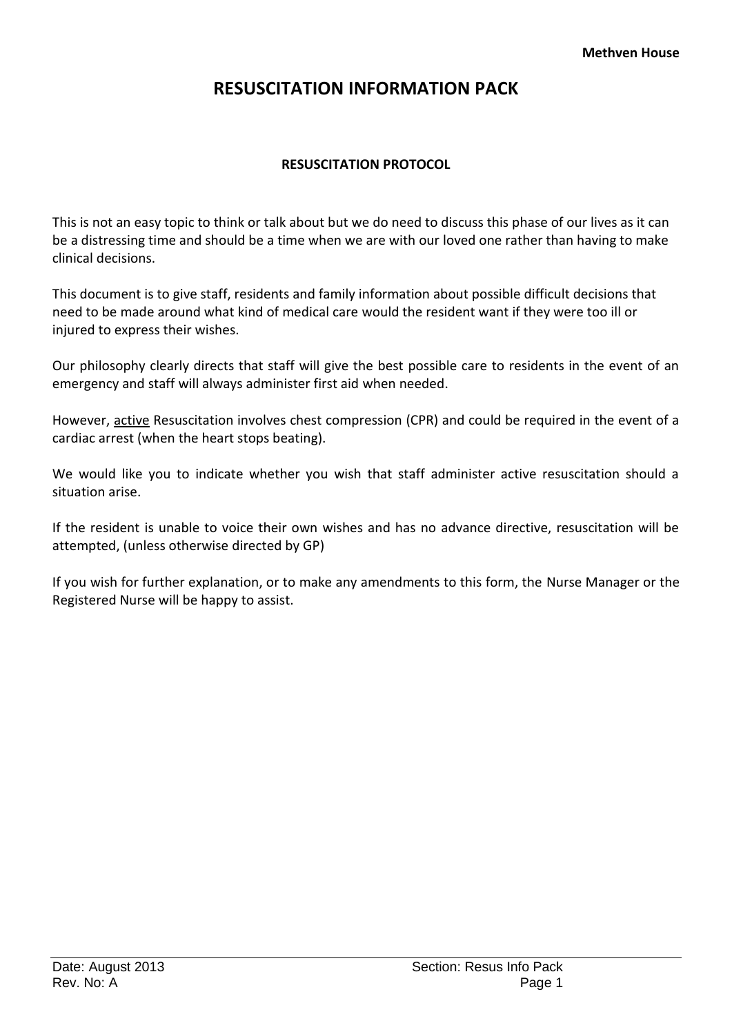# **RESUSCITATION INFORMATION PACK**

# **RESUSCITATION PROTOCOL**

This is not an easy topic to think or talk about but we do need to discuss this phase of our lives as it can be a distressing time and should be a time when we are with our loved one rather than having to make clinical decisions.

This document is to give staff, residents and family information about possible difficult decisions that need to be made around what kind of medical care would the resident want if they were too ill or injured to express their wishes.

Our philosophy clearly directs that staff will give the best possible care to residents in the event of an emergency and staff will always administer first aid when needed.

However, active Resuscitation involves chest compression (CPR) and could be required in the event of a cardiac arrest (when the heart stops beating).

We would like you to indicate whether you wish that staff administer active resuscitation should a situation arise.

If the resident is unable to voice their own wishes and has no advance directive, resuscitation will be attempted, (unless otherwise directed by GP)

If you wish for further explanation, or to make any amendments to this form, the Nurse Manager or the Registered Nurse will be happy to assist.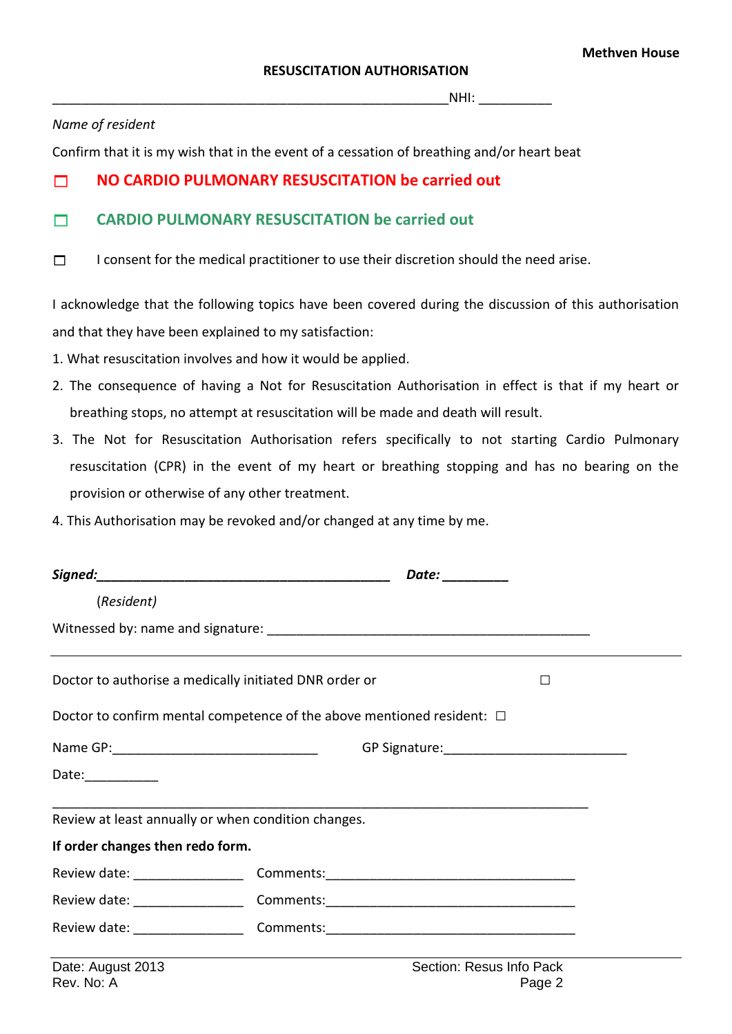$NHI:$ 

#### *Name of resident*

Confirm that it is my wish that in the event of a cessation of breathing and/or heart beat

# **NO CARDIO PULMONARY RESUSCITATION be carried out**

# **CARDIO PULMONARY RESUSCITATION be carried out**

 $\Box$  I consent for the medical practitioner to use their discretion should the need arise.

I acknowledge that the following topics have been covered during the discussion of this authorisation and that they have been explained to my satisfaction:

- 1. What resuscitation involves and how it would be applied.
- 2. The consequence of having a Not for Resuscitation Authorisation in effect is that if my heart or breathing stops, no attempt at resuscitation will be made and death will result.
- 3. The Not for Resuscitation Authorisation refers specifically to not starting Cardio Pulmonary resuscitation (CPR) in the event of my heart or breathing stopping and has no bearing on the provision or otherwise of any other treatment.
- 4. This Authorisation may be revoked and/or changed at any time by me.

|                                                     |                                                                                   | Date: _________          |   |  |
|-----------------------------------------------------|-----------------------------------------------------------------------------------|--------------------------|---|--|
| (Resident)                                          |                                                                                   |                          |   |  |
|                                                     |                                                                                   |                          |   |  |
|                                                     | Doctor to authorise a medically initiated DNR order or                            |                          | П |  |
|                                                     | Doctor to confirm mental competence of the above mentioned resident: $\Box$       |                          |   |  |
|                                                     |                                                                                   |                          |   |  |
| Date:___________                                    |                                                                                   |                          |   |  |
| Review at least annually or when condition changes. |                                                                                   |                          |   |  |
| If order changes then redo form.                    |                                                                                   |                          |   |  |
|                                                     |                                                                                   |                          |   |  |
|                                                     | Review date: __________________________Comments: _______________________________  |                          |   |  |
|                                                     | Review date: ___________________________ Comments: ______________________________ |                          |   |  |
| Date: August 2013                                   |                                                                                   | Section: Resus Info Pack |   |  |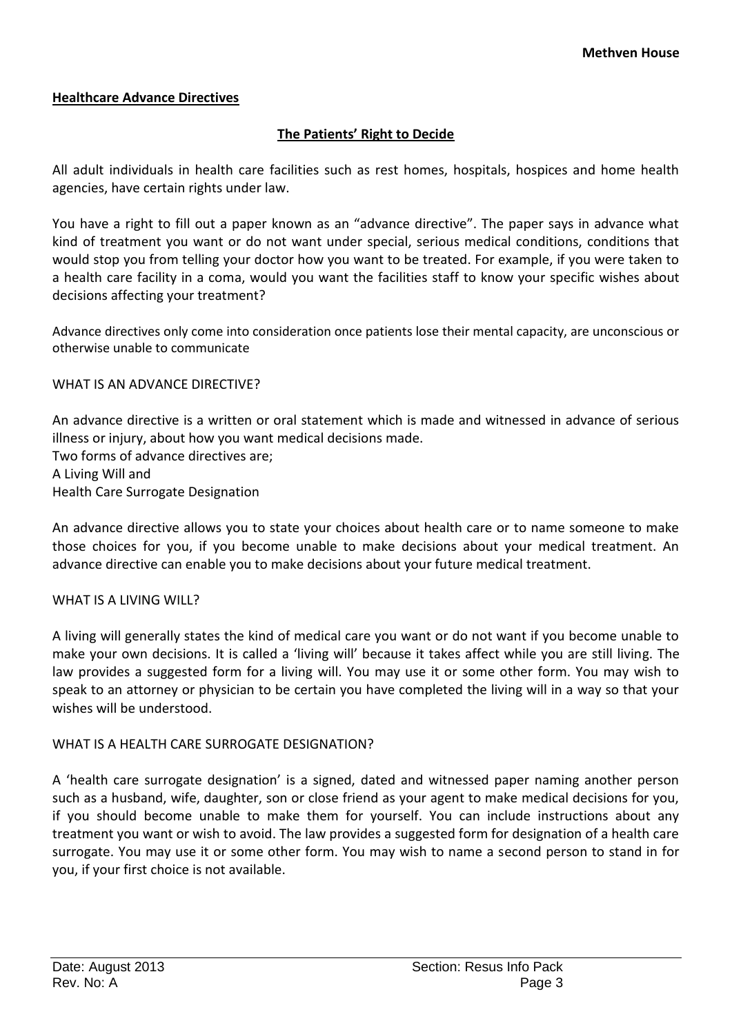# **Healthcare Advance Directives**

# **The Patients' Right to Decide**

All adult individuals in health care facilities such as rest homes, hospitals, hospices and home health agencies, have certain rights under law.

You have a right to fill out a paper known as an "advance directive". The paper says in advance what kind of treatment you want or do not want under special, serious medical conditions, conditions that would stop you from telling your doctor how you want to be treated. For example, if you were taken to a health care facility in a coma, would you want the facilities staff to know your specific wishes about decisions affecting your treatment?

Advance directives only come into consideration once patients lose their mental capacity, are unconscious or otherwise unable to communicate

WHAT IS AN ADVANCE DIRECTIVE?

An advance directive is a written or oral statement which is made and witnessed in advance of serious illness or injury, about how you want medical decisions made. Two forms of advance directives are; A Living Will and Health Care Surrogate Designation

An advance directive allows you to state your choices about health care or to name someone to make those choices for you, if you become unable to make decisions about your medical treatment. An advance directive can enable you to make decisions about your future medical treatment.

#### WHAT IS A LIVING WILL?

A living will generally states the kind of medical care you want or do not want if you become unable to make your own decisions. It is called a 'living will' because it takes affect while you are still living. The law provides a suggested form for a living will. You may use it or some other form. You may wish to speak to an attorney or physician to be certain you have completed the living will in a way so that your wishes will be understood.

#### WHAT IS A HEALTH CARE SURROGATE DESIGNATION?

A 'health care surrogate designation' is a signed, dated and witnessed paper naming another person such as a husband, wife, daughter, son or close friend as your agent to make medical decisions for you, if you should become unable to make them for yourself. You can include instructions about any treatment you want or wish to avoid. The law provides a suggested form for designation of a health care surrogate. You may use it or some other form. You may wish to name a second person to stand in for you, if your first choice is not available.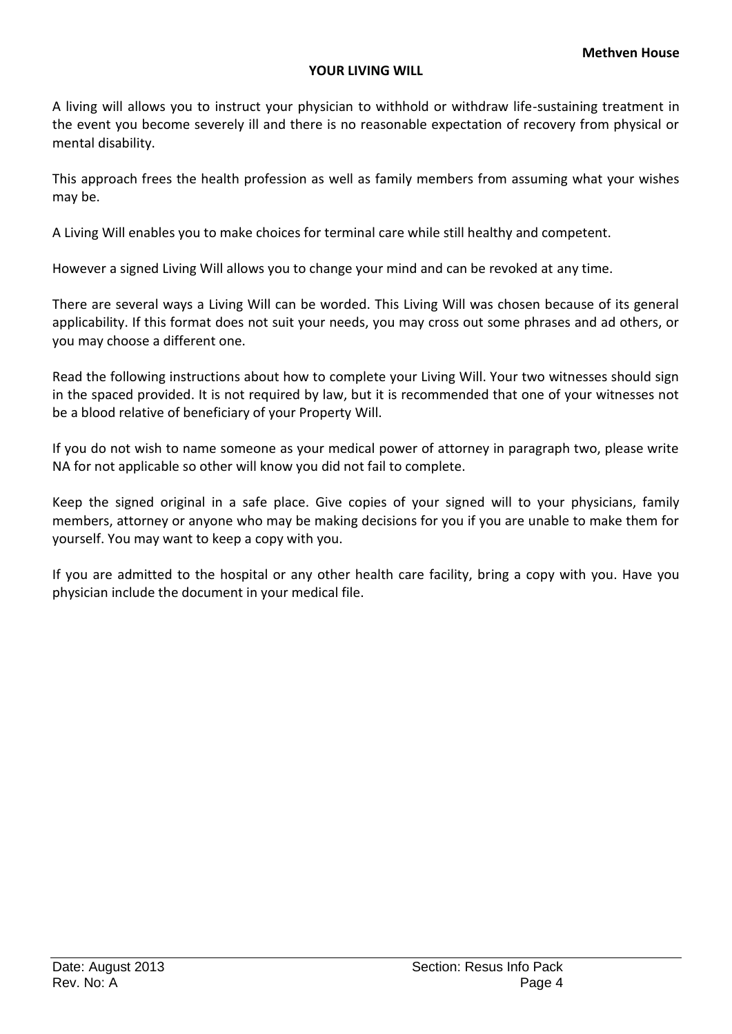# **YOUR LIVING WILL**

A living will allows you to instruct your physician to withhold or withdraw life-sustaining treatment in the event you become severely ill and there is no reasonable expectation of recovery from physical or mental disability.

This approach frees the health profession as well as family members from assuming what your wishes may be.

A Living Will enables you to make choices for terminal care while still healthy and competent.

However a signed Living Will allows you to change your mind and can be revoked at any time.

There are several ways a Living Will can be worded. This Living Will was chosen because of its general applicability. If this format does not suit your needs, you may cross out some phrases and ad others, or you may choose a different one.

Read the following instructions about how to complete your Living Will. Your two witnesses should sign in the spaced provided. It is not required by law, but it is recommended that one of your witnesses not be a blood relative of beneficiary of your Property Will.

If you do not wish to name someone as your medical power of attorney in paragraph two, please write NA for not applicable so other will know you did not fail to complete.

Keep the signed original in a safe place. Give copies of your signed will to your physicians, family members, attorney or anyone who may be making decisions for you if you are unable to make them for yourself. You may want to keep a copy with you.

If you are admitted to the hospital or any other health care facility, bring a copy with you. Have you physician include the document in your medical file.